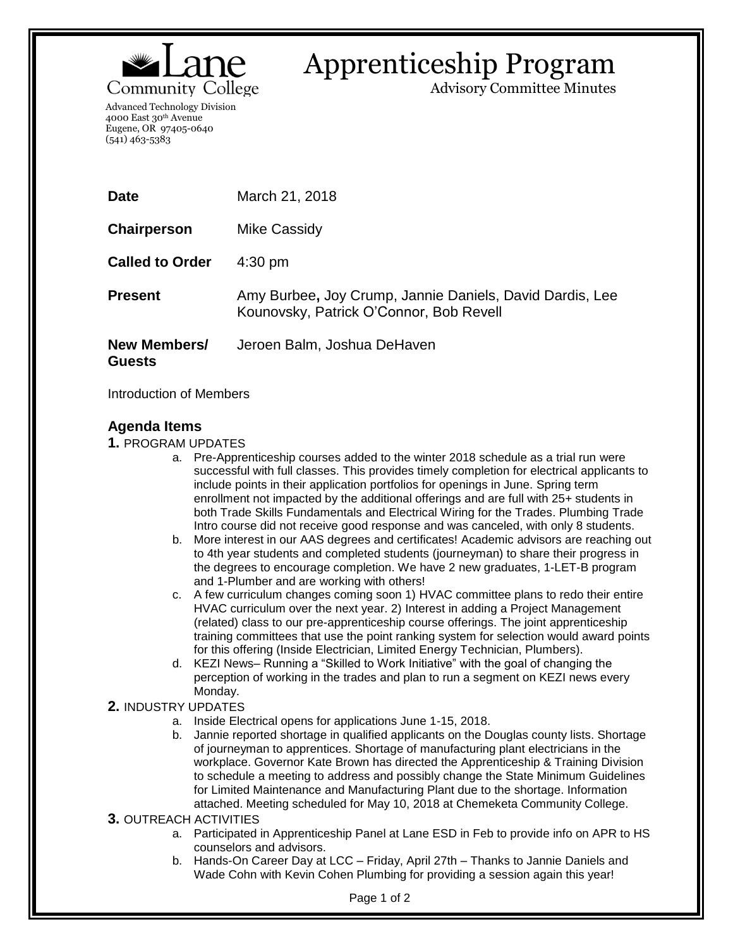

## Apprenticeship Program

Advisory Committee Minutes

Advanced Technology Division 4000 East 30th Avenue Eugene, OR 97405-0640 (541) 463-5383

| <b>Date</b>                   | March 21, 2018                                                                                      |
|-------------------------------|-----------------------------------------------------------------------------------------------------|
| Chairperson                   | Mike Cassidy                                                                                        |
| <b>Called to Order</b>        | $4:30 \text{ pm}$                                                                                   |
| <b>Present</b>                | Amy Burbee, Joy Crump, Jannie Daniels, David Dardis, Lee<br>Kounovsky, Patrick O'Connor, Bob Revell |
| New Members/<br><b>Guests</b> | Jeroen Balm, Joshua DeHaven                                                                         |

Introduction of Members

## **Agenda Items**

**1.** PROGRAM UPDATES

- a. Pre-Apprenticeship courses added to the winter 2018 schedule as a trial run were successful with full classes. This provides timely completion for electrical applicants to include points in their application portfolios for openings in June. Spring term enrollment not impacted by the additional offerings and are full with 25+ students in both Trade Skills Fundamentals and Electrical Wiring for the Trades. Plumbing Trade Intro course did not receive good response and was canceled, with only 8 students.
- b. More interest in our AAS degrees and certificates! Academic advisors are reaching out to 4th year students and completed students (journeyman) to share their progress in the degrees to encourage completion. We have 2 new graduates, 1-LET-B program and 1-Plumber and are working with others!
- c. A few curriculum changes coming soon 1) HVAC committee plans to redo their entire HVAC curriculum over the next year. 2) Interest in adding a Project Management (related) class to our pre-apprenticeship course offerings. The joint apprenticeship training committees that use the point ranking system for selection would award points for this offering (Inside Electrician, Limited Energy Technician, Plumbers).
- d. KEZI News– Running a "Skilled to Work Initiative" with the goal of changing the perception of working in the trades and plan to run a segment on KEZI news every Monday.

## **2.** INDUSTRY UPDATES

- a. Inside Electrical opens for applications June 1-15, 2018.
- b. Jannie reported shortage in qualified applicants on the Douglas county lists. Shortage of journeyman to apprentices. Shortage of manufacturing plant electricians in the workplace. Governor Kate Brown has directed the Apprenticeship & Training Division to schedule a meeting to address and possibly change the State Minimum Guidelines for Limited Maintenance and Manufacturing Plant due to the shortage. Information attached. Meeting scheduled for May 10, 2018 at Chemeketa Community College.
- **3.** OUTREACH ACTIVITIES
	- a. Participated in Apprenticeship Panel at Lane ESD in Feb to provide info on APR to HS counselors and advisors.
	- b. Hands-On Career Day at LCC Friday, April 27th Thanks to Jannie Daniels and Wade Cohn with Kevin Cohen Plumbing for providing a session again this year!